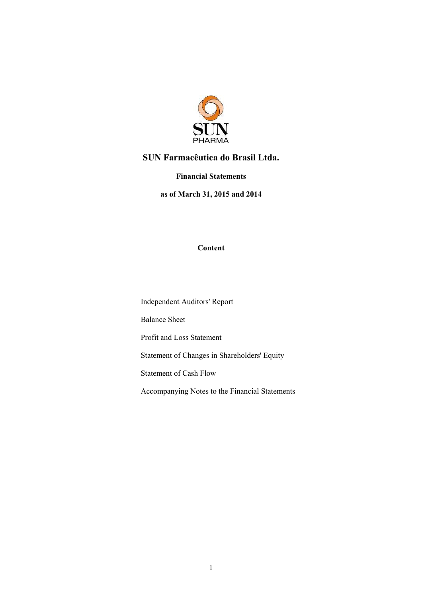

### Financial Statements

as of March 31, 2015 and 2014

### Content

Independent Auditors' Report

Balance Sheet

Profit and Loss Statement

Statement of Changes in Shareholders' Equity

Statement of Cash Flow

Accompanying Notes to the Financial Statements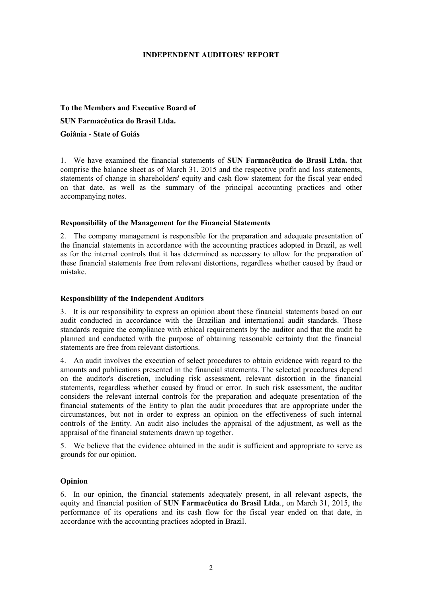### INDEPENDENT AUDITORS' REPORT

### To the Members and Executive Board of SUN Farmacêutica do Brasil Ltda.

### Goiânia - State of Goiás

1. We have examined the financial statements of SUN Farmacêutica do Brasil Ltda. that comprise the balance sheet as of March 31, 2015 and the respective profit and loss statements, statements of change in shareholders' equity and cash flow statement for the fiscal year ended on that date, as well as the summary of the principal accounting practices and other accompanying notes.

### Responsibility of the Management for the Financial Statements

2. The company management is responsible for the preparation and adequate presentation of the financial statements in accordance with the accounting practices adopted in Brazil, as well as for the internal controls that it has determined as necessary to allow for the preparation of these financial statements free from relevant distortions, regardless whether caused by fraud or mistake.

### Responsibility of the Independent Auditors

3. It is our responsibility to express an opinion about these financial statements based on our audit conducted in accordance with the Brazilian and international audit standards. Those standards require the compliance with ethical requirements by the auditor and that the audit be planned and conducted with the purpose of obtaining reasonable certainty that the financial statements are free from relevant distortions.

4. An audit involves the execution of select procedures to obtain evidence with regard to the amounts and publications presented in the financial statements. The selected procedures depend on the auditor's discretion, including risk assessment, relevant distortion in the financial statements, regardless whether caused by fraud or error. In such risk assessment, the auditor considers the relevant internal controls for the preparation and adequate presentation of the financial statements of the Entity to plan the audit procedures that are appropriate under the circumstances, but not in order to express an opinion on the effectiveness of such internal controls of the Entity. An audit also includes the appraisal of the adjustment, as well as the appraisal of the financial statements drawn up together.

5. We believe that the evidence obtained in the audit is sufficient and appropriate to serve as grounds for our opinion.

### Opinion

6. In our opinion, the financial statements adequately present, in all relevant aspects, the equity and financial position of SUN Farmacêutica do Brasil Ltda., on March 31, 2015, the performance of its operations and its cash flow for the fiscal year ended on that date, in accordance with the accounting practices adopted in Brazil.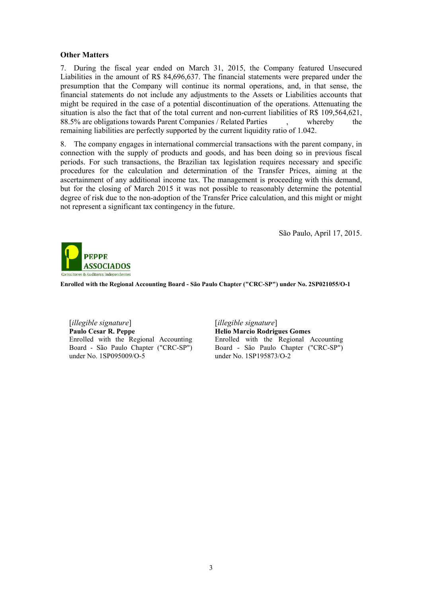### Other Matters

7. During the fiscal year ended on March 31, 2015, the Company featured Unsecured Liabilities in the amount of R\$ 84,696,637. The financial statements were prepared under the presumption that the Company will continue its normal operations, and, in that sense, the financial statements do not include any adjustments to the Assets or Liabilities accounts that might be required in the case of a potential discontinuation of the operations. Attenuating the situation is also the fact that of the total current and non-current liabilities of R\$ 109,564,621, 88.5% are obligations towards Parent Companies / Related Parties , whereby the remaining liabilities are perfectly supported by the current liquidity ratio of 1.042.

8. The company engages in international commercial transactions with the parent company, in connection with the supply of products and goods, and has been doing so in previous fiscal periods. For such transactions, the Brazilian tax legislation requires necessary and specific procedures for the calculation and determination of the Transfer Prices, aiming at the ascertainment of any additional income tax. The management is proceeding with this demand, but for the closing of March 2015 it was not possible to reasonably determine the potential degree of risk due to the non-adoption of the Transfer Price calculation, and this might or might not represent a significant tax contingency in the future.

São Paulo, April 17, 2015.



Enrolled with the Regional Accounting Board - São Paulo Chapter ("CRC-SP") under No. 2SP021055/O-1

[*illegible signature*] [*illegible signature*] Paulo Cesar R. Peppe Enrolled with the Regional Accounting Board - São Paulo Chapter ("CRC-SP") under No. 1SP095009/O-5

Helio Marcio Rodrigues Gomes Enrolled with the Regional Accounting Board - São Paulo Chapter ("CRC-SP") under No. 1SP195873/O-2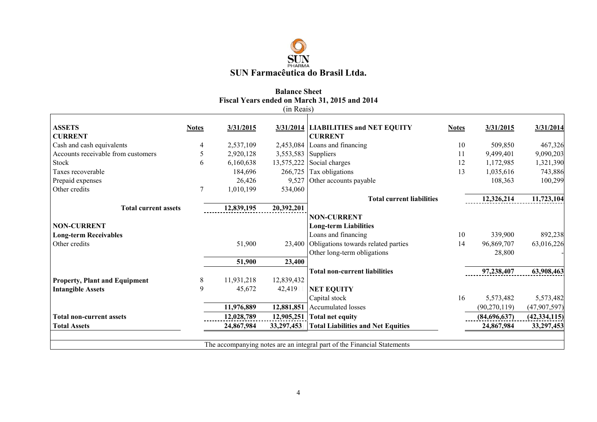

## Balance Sheet Fiscal Years ended on March 31, 2015 and 2014 (in Reais)

|                                      |              |            | (in Reais) |                                                                         |              |                |                |
|--------------------------------------|--------------|------------|------------|-------------------------------------------------------------------------|--------------|----------------|----------------|
| <b>ASSETS</b>                        | <b>Notes</b> | 3/31/2015  |            | 3/31/2014 LIABILITIES and NET EQUITY                                    | <b>Notes</b> | 3/31/2015      | 3/31/2014      |
| <b>CURRENT</b>                       |              |            |            | <b>CURRENT</b>                                                          |              |                |                |
| Cash and cash equivalents            | 4            | 2,537,109  |            | 2,453,084 Loans and financing                                           | 10           | 509,850        | 467,326        |
| Accounts receivable from customers   | 5            | 2,920,128  |            | $3,553,583$ Suppliers                                                   | 11           | 9,499,401      | 9,090,203      |
| Stock                                | 6            | 6,160,638  |            | $13,575,222$ Social charges                                             | 12           | 1,172,985      | 1,321,390      |
| Taxes recoverable                    |              | 184,696    |            | $266,725$ Tax obligations                                               | 13           | 1,035,616      | 743,886        |
| Prepaid expenses                     |              | 26,426     | 9,527      | Other accounts payable                                                  |              | 108,363        | 100,299        |
| Other credits                        | 7            | 1,010,199  | 534,060    |                                                                         |              |                |                |
|                                      |              |            |            | <b>Total current liabilities</b>                                        |              | 12,326,214     | 11,723,104     |
| <b>Total current assets</b>          |              | 12,839,195 | 20,392,201 |                                                                         |              |                |                |
|                                      |              |            |            | <b>NON-CURRENT</b>                                                      |              |                |                |
| <b>NON-CURRENT</b>                   |              |            |            | <b>Long-term Liabilities</b>                                            |              |                |                |
| <b>Long-term Receivables</b>         |              |            |            | Loans and financing                                                     | 10           | 339,900        | 892,238        |
| Other credits                        |              | 51,900     |            | 23,400 Obligations towards related parties                              | 14           | 96,869,707     | 63,016,226     |
|                                      |              |            |            | Other long-term obligations                                             |              | 28,800         |                |
|                                      |              | 51,900     | 23,400     |                                                                         |              |                |                |
|                                      |              |            |            | <b>Total non-current liabilities</b>                                    |              | 97,238,407     | 63,908,463     |
| <b>Property, Plant and Equipment</b> | 8            | 11,931,218 | 12,839,432 |                                                                         |              |                |                |
| <b>Intangible Assets</b>             | 9            | 45,672     | 42,419     | <b>NET EQUITY</b>                                                       |              |                |                |
|                                      |              |            |            | Capital stock                                                           | 16           | 5,573,482      | 5,573,482      |
|                                      |              | 11,976,889 | 12,881,851 | Accumulated losses                                                      |              | (90, 270, 119) | (47,907,597)   |
| <b>Total non-current assets</b>      |              | 12,028,789 | 12,905,251 | <b>Total net equity</b>                                                 |              | (84,696,637)   | (42, 334, 115) |
| <b>Total Assets</b>                  |              | 24,867,984 | 33,297,453 | <b>Total Liabilities and Net Equities</b>                               |              | 24,867,984     | 33,297,453     |
|                                      |              |            |            |                                                                         |              |                |                |
|                                      |              |            |            | The accompanying notes are an integral part of the Financial Statements |              |                |                |
|                                      |              |            |            |                                                                         |              |                |                |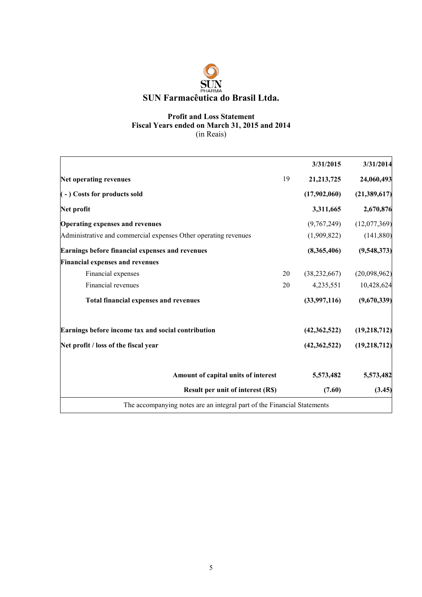### Profit and Loss Statement Fiscal Years ended on March 31, 2015 and 2014 (in Reais)

|                                                                         |    | 3/31/2015      | 3/31/2014      |
|-------------------------------------------------------------------------|----|----------------|----------------|
| Net operating revenues                                                  | 19 | 21, 213, 725   | 24,060,493     |
| (-) Costs for products sold                                             |    | (17,902,060)   | (21, 389, 617) |
| Net profit                                                              |    | 3,311,665      | 2,670,876      |
| <b>Operating expenses and revenues</b>                                  |    | (9,767,249)    | (12,077,369)   |
| Administrative and commercial expenses Other operating revenues         |    | (1,909,822)    | (141, 880)     |
| Earnings before financial expenses and revenues                         |    | (8,365,406)    | (9,548,373)    |
| <b>Financial expenses and revenues</b>                                  |    |                |                |
| Financial expenses                                                      | 20 | (38, 232, 667) | (20,098,962)   |
| Financial revenues                                                      | 20 | 4,235,551      | 10,428,624     |
| <b>Total financial expenses and revenues</b>                            |    | (33,997,116)   | (9,670,339)    |
| Earnings before income tax and social contribution                      |    | (42,362,522)   | (19,218,712)   |
| Net profit / loss of the fiscal year                                    |    | (42, 362, 522) | (19,218,712)   |
| Amount of capital units of interest                                     |    | 5,573,482      | 5,573,482      |
| <b>Result per unit of interest (R\$)</b>                                |    | (7.60)         | (3.45)         |
| The accompanying notes are an integral part of the Financial Statements |    |                |                |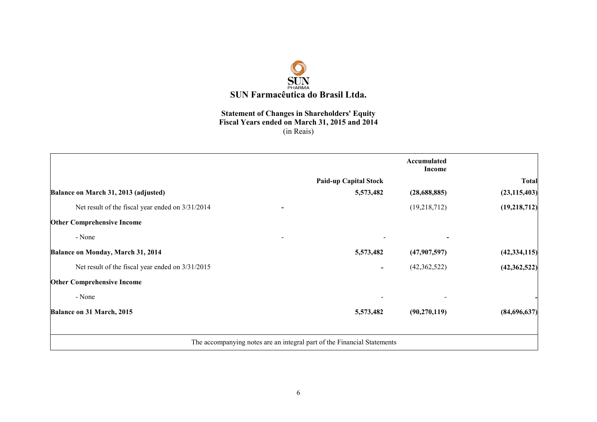

### Statement of Changes in Shareholders' Equity Fiscal Years ended on March 31, 2015 and 2014 (in Reais)

|                                                    |                                                                         | Accumulated<br>Income |                |
|----------------------------------------------------|-------------------------------------------------------------------------|-----------------------|----------------|
|                                                    | <b>Paid-up Capital Stock</b>                                            |                       | <b>Total</b>   |
| Balance on March 31, 2013 (adjusted)               | 5,573,482                                                               | (28, 688, 885)        | (23, 115, 403) |
| Net result of the fiscal year ended on $3/31/2014$ |                                                                         | (19,218,712)          | (19,218,712)   |
| <b>Other Comprehensive Income</b>                  |                                                                         |                       |                |
| - None                                             |                                                                         |                       |                |
| Balance on Monday, March 31, 2014                  | 5,573,482                                                               | (47,907,597)          | (42, 334, 115) |
| Net result of the fiscal year ended on $3/31/2015$ |                                                                         | (42,362,522)          | (42, 362, 522) |
| <b>Other Comprehensive Income</b>                  |                                                                         |                       |                |
| - None                                             |                                                                         |                       |                |
| Balance on 31 March, 2015                          | 5,573,482                                                               | (90, 270, 119)        | (84,696,637)   |
|                                                    |                                                                         |                       |                |
|                                                    | The accompanying notes are an integral part of the Financial Statements |                       |                |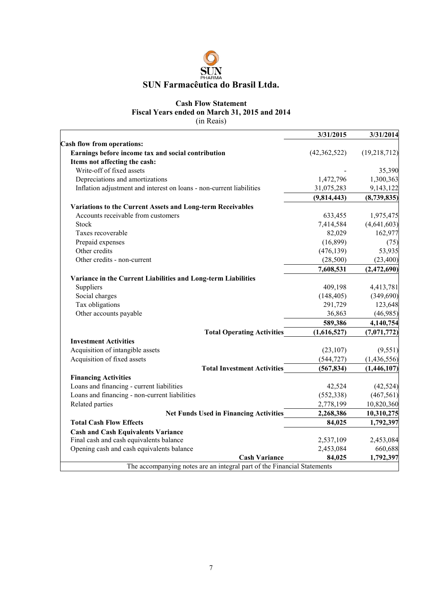

### Cash Flow Statement Fiscal Years ended on March 31, 2015 and 2014

(in Reais)

|                                                                      | 3/31/2015      | 3/31/2014    |
|----------------------------------------------------------------------|----------------|--------------|
| <b>Cash flow from operations:</b>                                    |                |              |
| Earnings before income tax and social contribution                   | (42, 362, 522) | (19,218,712) |
| Items not affecting the cash:                                        |                |              |
| Write-off of fixed assets                                            |                | 35,390       |
| Depreciations and amortizations                                      | 1,472,796      | 1,300,363    |
| Inflation adjustment and interest on loans - non-current liabilities | 31,075,283     | 9,143,122    |
|                                                                      | (9,814,443)    | (8,739,835)  |
| Variations to the Current Assets and Long-term Receivables           |                |              |
| Accounts receivable from customers                                   | 633,455        | 1,975,475    |
| Stock                                                                | 7,414,584      | (4,641,603)  |
| Taxes recoverable                                                    | 82,029         | 162,977      |
| Prepaid expenses                                                     | (16, 899)      | (75)         |
| Other credits                                                        | (476, 139)     | 53,935       |
| Other credits - non-current                                          | (28, 500)      | (23, 400)    |
|                                                                      | 7,608,531      | (2,472,690)  |
| Variance in the Current Liabilities and Long-term Liabilities        |                |              |
| Suppliers                                                            | 409,198        | 4,413,781    |
| Social charges                                                       | (148, 405)     | (349,690)    |
| Tax obligations                                                      | 291,729        | 123,648      |
| Other accounts payable                                               | 36,863         | (46,985)     |
|                                                                      | 589,386        | 4,140,754    |
| <b>Total Operating Activities</b>                                    | (1,616,527)    | (7,071,772)  |
| <b>Investment Activities</b>                                         |                |              |
| Acquisition of intangible assets                                     | (23, 107)      | (9, 551)     |
| Acquisition of fixed assets                                          | (544, 727)     | (1,436,556)  |
| <b>Total Investment Activities</b>                                   | (567, 834)     | (1,446,107)  |
| <b>Financing Activities</b>                                          |                |              |
| Loans and financing - current liabilities                            | 42,524         | (42, 524)    |
| Loans and financing - non-current liabilities                        | (552, 338)     | (467, 561)   |
| Related parties                                                      | 2,778,199      | 10,820,360   |
| <b>Net Funds Used in Financing Activities</b>                        | 2,268,386      | 10,310,275   |
| <b>Total Cash Flow Effects</b>                                       | 84,025         | 1,792,397    |
| <b>Cash and Cash Equivalents Variance</b>                            |                |              |
| Final cash and cash equivalents balance                              | 2,537,109      | 2,453,084    |
| Opening cash and cash equivalents balance                            | 2,453,084      | 660,688      |
| <b>Cash Variance</b>                                                 | 84,025         | 1,792,397    |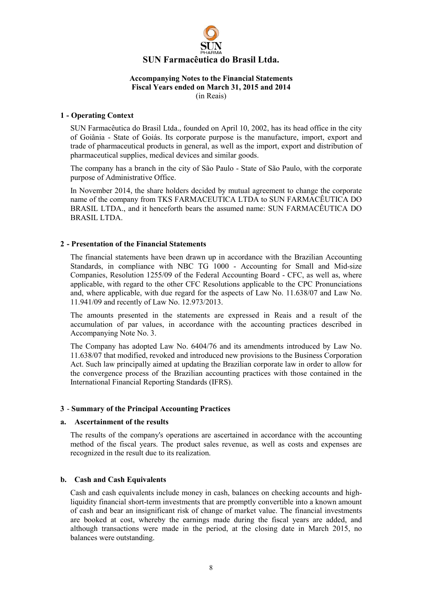

### 1 - Operating Context

SUN Farmacêutica do Brasil Ltda., founded on April 10, 2002, has its head office in the city of Goiânia - State of Goiás. Its corporate purpose is the manufacture, import, export and trade of pharmaceutical products in general, as well as the import, export and distribution of pharmaceutical supplies, medical devices and similar goods.

The company has a branch in the city of São Paulo - State of São Paulo, with the corporate purpose of Administrative Office.

In November 2014, the share holders decided by mutual agreement to change the corporate name of the company from TKS FARMACEUTICA LTDA to SUN FARMACÊUTICA DO BRASIL LTDA., and it henceforth bears the assumed name: SUN FARMACÊUTICA DO BRASIL LTDA.

### 2 - Presentation of the Financial Statements

The financial statements have been drawn up in accordance with the Brazilian Accounting Standards, in compliance with NBC TG 1000 - Accounting for Small and Mid-size Companies, Resolution 1255/09 of the Federal Accounting Board - CFC, as well as, where applicable, with regard to the other CFC Resolutions applicable to the CPC Pronunciations and, where applicable, with due regard for the aspects of Law No. 11.638/07 and Law No. 11.941/09 and recently of Law No. 12.973/2013.

The amounts presented in the statements are expressed in Reais and a result of the accumulation of par values, in accordance with the accounting practices described in Accompanying Note No. 3.

The Company has adopted Law No. 6404/76 and its amendments introduced by Law No. 11.638/07 that modified, revoked and introduced new provisions to the Business Corporation Act. Such law principally aimed at updating the Brazilian corporate law in order to allow for the convergence process of the Brazilian accounting practices with those contained in the International Financial Reporting Standards (IFRS).

### 3 - Summary of the Principal Accounting Practices

### a. Ascertainment of the results

The results of the company's operations are ascertained in accordance with the accounting method of the fiscal years. The product sales revenue, as well as costs and expenses are recognized in the result due to its realization.

### b. Cash and Cash Equivalents

Cash and cash equivalents include money in cash, balances on checking accounts and highliquidity financial short-term investments that are promptly convertible into a known amount of cash and bear an insignificant risk of change of market value. The financial investments are booked at cost, whereby the earnings made during the fiscal years are added, and although transactions were made in the period, at the closing date in March 2015, no balances were outstanding.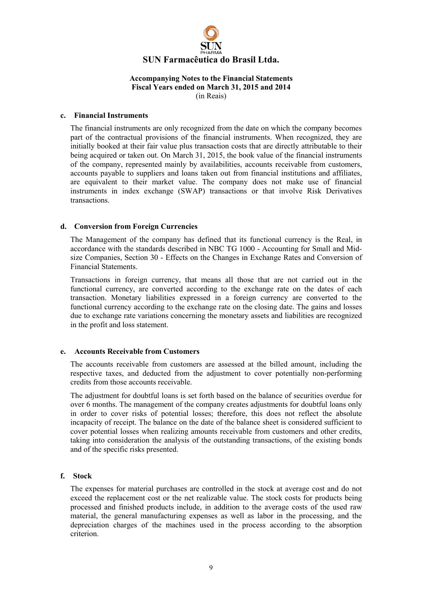

### c. Financial Instruments

The financial instruments are only recognized from the date on which the company becomes part of the contractual provisions of the financial instruments. When recognized, they are initially booked at their fair value plus transaction costs that are directly attributable to their being acquired or taken out. On March 31, 2015, the book value of the financial instruments of the company, represented mainly by availabilities, accounts receivable from customers, accounts payable to suppliers and loans taken out from financial institutions and affiliates, are equivalent to their market value. The company does not make use of financial instruments in index exchange (SWAP) transactions or that involve Risk Derivatives transactions.

### d. Conversion from Foreign Currencies

The Management of the company has defined that its functional currency is the Real, in accordance with the standards described in NBC TG 1000 - Accounting for Small and Midsize Companies, Section 30 - Effects on the Changes in Exchange Rates and Conversion of Financial Statements.

Transactions in foreign currency, that means all those that are not carried out in the functional currency, are converted according to the exchange rate on the dates of each transaction. Monetary liabilities expressed in a foreign currency are converted to the functional currency according to the exchange rate on the closing date. The gains and losses due to exchange rate variations concerning the monetary assets and liabilities are recognized in the profit and loss statement.

### e. Accounts Receivable from Customers

The accounts receivable from customers are assessed at the billed amount, including the respective taxes, and deducted from the adjustment to cover potentially non-performing credits from those accounts receivable.

The adjustment for doubtful loans is set forth based on the balance of securities overdue for over 6 months. The management of the company creates adjustments for doubtful loans only in order to cover risks of potential losses; therefore, this does not reflect the absolute incapacity of receipt. The balance on the date of the balance sheet is considered sufficient to cover potential losses when realizing amounts receivable from customers and other credits, taking into consideration the analysis of the outstanding transactions, of the existing bonds and of the specific risks presented.

### f. Stock

The expenses for material purchases are controlled in the stock at average cost and do not exceed the replacement cost or the net realizable value. The stock costs for products being processed and finished products include, in addition to the average costs of the used raw material, the general manufacturing expenses as well as labor in the processing, and the depreciation charges of the machines used in the process according to the absorption criterion.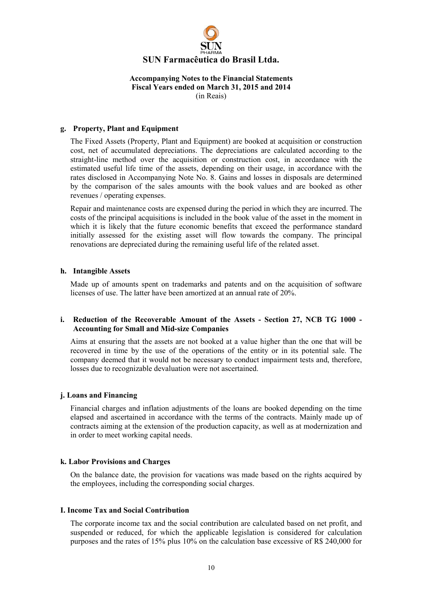

### g. Property, Plant and Equipment

The Fixed Assets (Property, Plant and Equipment) are booked at acquisition or construction cost, net of accumulated depreciations. The depreciations are calculated according to the straight-line method over the acquisition or construction cost, in accordance with the estimated useful life time of the assets, depending on their usage, in accordance with the rates disclosed in Accompanying Note No. 8. Gains and losses in disposals are determined by the comparison of the sales amounts with the book values and are booked as other revenues / operating expenses.

Repair and maintenance costs are expensed during the period in which they are incurred. The costs of the principal acquisitions is included in the book value of the asset in the moment in which it is likely that the future economic benefits that exceed the performance standard initially assessed for the existing asset will flow towards the company. The principal renovations are depreciated during the remaining useful life of the related asset.

#### h. Intangible Assets

Made up of amounts spent on trademarks and patents and on the acquisition of software licenses of use. The latter have been amortized at an annual rate of 20%.

### i. Reduction of the Recoverable Amount of the Assets - Section 27, NCB TG 1000 - Accounting for Small and Mid-size Companies

Aims at ensuring that the assets are not booked at a value higher than the one that will be recovered in time by the use of the operations of the entity or in its potential sale. The company deemed that it would not be necessary to conduct impairment tests and, therefore, losses due to recognizable devaluation were not ascertained.

### j. Loans and Financing

Financial charges and inflation adjustments of the loans are booked depending on the time elapsed and ascertained in accordance with the terms of the contracts. Mainly made up of contracts aiming at the extension of the production capacity, as well as at modernization and in order to meet working capital needs.

### k. Labor Provisions and Charges

On the balance date, the provision for vacations was made based on the rights acquired by the employees, including the corresponding social charges.

### I. Income Tax and Social Contribution

The corporate income tax and the social contribution are calculated based on net profit, and suspended or reduced, for which the applicable legislation is considered for calculation purposes and the rates of 15% plus 10% on the calculation base excessive of R\$ 240,000 for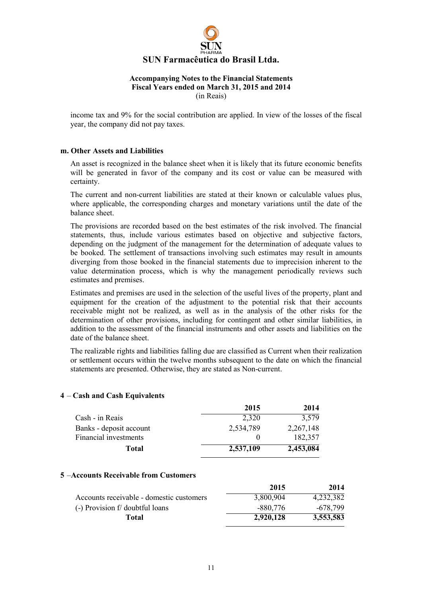

income tax and 9% for the social contribution are applied. In view of the losses of the fiscal year, the company did not pay taxes.

### m. Other Assets and Liabilities

An asset is recognized in the balance sheet when it is likely that its future economic benefits will be generated in favor of the company and its cost or value can be measured with certainty.

The current and non-current liabilities are stated at their known or calculable values plus, where applicable, the corresponding charges and monetary variations until the date of the balance sheet.

The provisions are recorded based on the best estimates of the risk involved. The financial statements, thus, include various estimates based on objective and subjective factors, depending on the judgment of the management for the determination of adequate values to be booked. The settlement of transactions involving such estimates may result in amounts diverging from those booked in the financial statements due to imprecision inherent to the value determination process, which is why the management periodically reviews such estimates and premises.

Estimates and premises are used in the selection of the useful lives of the property, plant and equipment for the creation of the adjustment to the potential risk that their accounts receivable might not be realized, as well as in the analysis of the other risks for the determination of other provisions, including for contingent and other similar liabilities, in addition to the assessment of the financial instruments and other assets and liabilities on the date of the balance sheet.

The realizable rights and liabilities falling due are classified as Current when their realization or settlement occurs within the twelve months subsequent to the date on which the financial statements are presented. Otherwise, they are stated as Non-current.

### 4 – Cash and Cash Equivalents

|                         | 2015      | 2014      |
|-------------------------|-----------|-----------|
| Cash - in Reais         | 2.320     | 3,579     |
| Banks - deposit account | 2,534,789 | 2,267,148 |
| Financial investments   |           | 182,357   |
| Total                   | 2,537,109 | 2,453,084 |

#### 5 –Accounts Receivable from Customers

|                                          | 2015      | 2014       |
|------------------------------------------|-----------|------------|
| Accounts receivable - domestic customers | 3,800,904 | 4,232,382  |
| (-) Provision f/ doubtful loans          | -880.776  | $-678,799$ |
| Total                                    | 2.920.128 | 3,553,583  |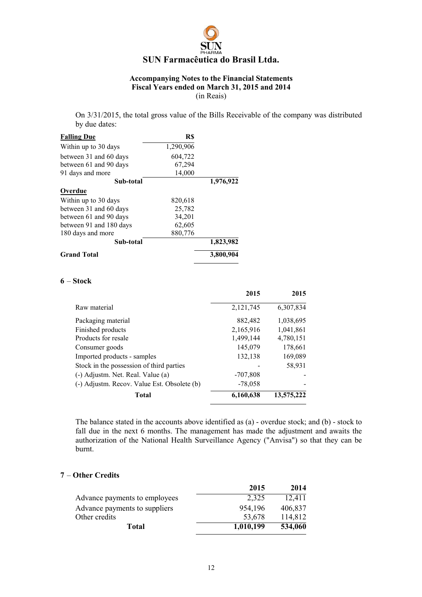

On 3/31/2015, the total gross value of the Bills Receivable of the company was distributed by due dates:

| <b>Falling Due</b>      | R\$       |           |
|-------------------------|-----------|-----------|
| Within up to 30 days    | 1,290,906 |           |
| between 31 and 60 days  | 604,722   |           |
| between 61 and 90 days  | 67,294    |           |
| 91 days and more        | 14,000    |           |
| Sub-total               |           | 1,976,922 |
| <b>Overdue</b>          |           |           |
| Within up to 30 days    | 820,618   |           |
| between 31 and 60 days  | 25,782    |           |
| between 61 and 90 days  | 34,201    |           |
| between 91 and 180 days | 62,605    |           |
| 180 days and more       | 880,776   |           |
| Sub-total               |           | 1,823,982 |
| <b>Grand Total</b>      |           | 3,800,904 |

#### 6 – Stock

|                                             | 2015       | 2015       |
|---------------------------------------------|------------|------------|
| Raw material                                | 2,121,745  | 6,307,834  |
| Packaging material                          | 882,482    | 1,038,695  |
| Finished products                           | 2,165,916  | 1,041,861  |
| Products for resale                         | 1,499,144  | 4,780,151  |
| Consumer goods                              | 145,079    | 178,661    |
| Imported products - samples                 | 132,138    | 169,089    |
| Stock in the possession of third parties    |            | 58,931     |
| (-) Adjustm. Net. Real. Value (a)           | $-707,808$ |            |
| (-) Adjustm. Recov. Value Est. Obsolete (b) | $-78,058$  |            |
| Total                                       | 6,160,638  | 13,575,222 |

The balance stated in the accounts above identified as (a) - overdue stock; and (b) - stock to fall due in the next 6 months. The management has made the adjustment and awaits the authorization of the National Health Surveillance Agency ("Anvisa") so that they can be burnt.

### 7 – Other Credits

|                               | 2015      | 2014    |
|-------------------------------|-----------|---------|
| Advance payments to employees | 2,325     | 12,411  |
| Advance payments to suppliers | 954,196   | 406,837 |
| Other credits                 | 53,678    | 114,812 |
| Total                         | 1,010,199 | 534,060 |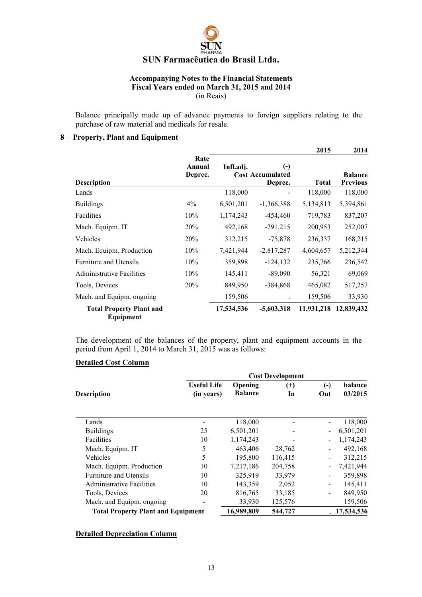

Balance principally made up of advance payments to foreign suppliers relating to the purchase of raw material and medicals for resale.

### 8 – Property, Plant and Equipment

|                                              |                           |            |                                                              | 2015         | 2014                              |
|----------------------------------------------|---------------------------|------------|--------------------------------------------------------------|--------------|-----------------------------------|
| <b>Description</b>                           | Rate<br>Annual<br>Deprec. | Infl.adi.  | $\left( \cdot \right)$<br><b>Cost Accumulated</b><br>Deprec. | <b>Total</b> | <b>Balance</b><br><b>Previous</b> |
| Lands                                        |                           | 118,000    |                                                              | 118,000      | 118,000                           |
| <b>Buildings</b>                             | $4\%$                     | 6,501,201  | $-1,366,388$                                                 | 5, 134, 813  | 5,394,861                         |
| Facilities                                   | 10%                       | 1,174,243  | $-454,460$                                                   | 719,783      | 837,207                           |
| Mach. Equipm. IT                             | <b>20%</b>                | 492,168    | $-291,215$                                                   | 200,953      | 252,007                           |
| Vehicles                                     | 20%                       | 312,215    | $-75,878$                                                    | 236,337      | 168,215                           |
| Mach. Equipm. Production                     | 10%                       | 7,421,944  | $-2.817,287$                                                 | 4,604,657    | 5,212,344                         |
| <b>Furniture and Utensils</b>                | 10%                       | 359,898    | $-124, 132$                                                  | 235,766      | 236,542                           |
| <b>Administrative Facilities</b>             | 10%                       | 145,411    | $-89,090$                                                    | 56,321       | 69,069                            |
| Tools, Devices                               | 20%                       | 849,950    | $-384,868$                                                   | 465,082      | 517,257                           |
| Mach. and Equipm. ongoing                    |                           | 159,506    |                                                              | 159,506      | 33,930                            |
| <b>Total Property Plant and</b><br>Equipment |                           | 17,534,536 | $-5,603,318$                                                 | 11,931,218   | 12,839,432                        |

The development of the balances of the property, plant and equipment accounts in the period from April 1, 2014 to March 31, 2015 was as follows:

### Detailed Cost Column

|                                           |                                  |                           | <b>Cost Development</b> |                           |                    |
|-------------------------------------------|----------------------------------|---------------------------|-------------------------|---------------------------|--------------------|
| <b>Description</b>                        | <b>Useful Life</b><br>(in years) | Opening<br><b>Balance</b> | $^{(+)}$<br>In          | $(\textnormal{-})$<br>Out | balance<br>03/2015 |
| Lands                                     |                                  | 118,000                   |                         |                           | 118,000            |
| <b>Buildings</b>                          | 25                               | 6,501,201                 |                         | $\sim$                    | 6,501,201          |
| Facilities                                | 10                               | 1,174,243                 |                         |                           | 1,174,243          |
| Mach. Equipm. IT                          | 5                                | 463,406                   | 28,762                  |                           | 492,168            |
| Vehicles                                  | 5                                | 195,800                   | 116,415                 |                           | 312,215            |
| Mach. Equipm. Production                  | 10                               | 7,217,186                 | 204,758                 |                           | 7,421,944          |
| <b>Furniture and Utensils</b>             | 10                               | 325,919                   | 33,979                  |                           | 359,898            |
| <b>Administrative Facilities</b>          | 10                               | 143,359                   | 2,052                   |                           | 145,411            |
| Tools, Devices                            | 20                               | 816,765                   | 33,185                  |                           | 849,950            |
| Mach. and Equipm. ongoing.                |                                  | 33,930                    | 125,576                 |                           | 159,506            |
| <b>Total Property Plant and Equipment</b> |                                  | 16,989,809                | 544,727                 |                           | 17,534,536         |

### Detailed Depreciation Column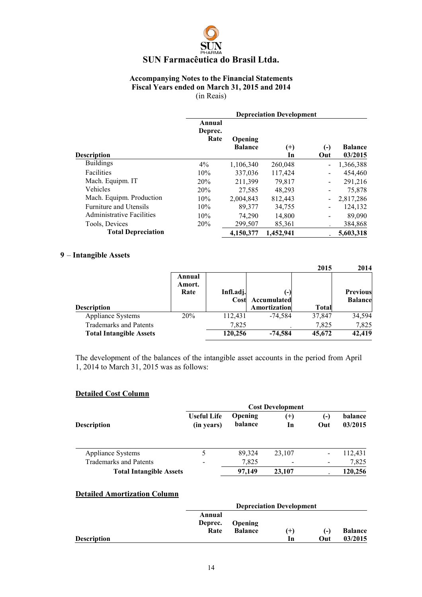### Accompanying Notes to the Financial Statements Fiscal Years ended on March 31, 2015 and 2014 (in Reais)

|                           | <b>Depreciation Development</b> |                           |                |                          |                           |  |
|---------------------------|---------------------------------|---------------------------|----------------|--------------------------|---------------------------|--|
| <b>Description</b>        | Annual<br>Deprec.<br>Rate       | Opening<br><b>Balance</b> | $^{(+)}$<br>In | $(-)$<br>Out             | <b>Balance</b><br>03/2015 |  |
| <b>Buildings</b>          | 4%                              | 1,106,340                 | 260,048        |                          | 1,366,388                 |  |
| Facilities                | 10%                             | 337,036                   | 117,424        | $\overline{\phantom{a}}$ | 454,460                   |  |
| Mach. Equipm. IT          | 20%                             | 211,399                   | 79,817         |                          | 291,216                   |  |
| <b>Vehicles</b>           | 20%                             | 27,585                    | 48,293         |                          | 75,878                    |  |
| Mach. Equipm. Production  | 10%                             | 2.004.843                 | 812,443        |                          | 2,817,286                 |  |
| Furniture and Utensils    | 10%                             | 89,377                    | 34,755         |                          | 124,132                   |  |
| Administrative Facilities | 10%                             | 74.290                    | 14,800         |                          | 89,090                    |  |
| Tools, Devices            | 20%                             | 299,507                   | 85,361         |                          | 384,868                   |  |
| <b>Total Depreciation</b> |                                 | 4,150,377                 | 1,452,941      |                          | 5.603.318                 |  |

### 9 – Intangible Assets

|                                |                  |           |                     | 2015   | 2014            |
|--------------------------------|------------------|-----------|---------------------|--------|-----------------|
|                                | Annual<br>Amort. |           |                     |        |                 |
|                                | Rate             | Infl.adj. | i – I               |        | <b>Previous</b> |
|                                |                  | Cost      | Accumulated         |        | <b>Balance</b>  |
| <b>Description</b>             |                  |           | <b>Amortization</b> | Total  |                 |
| <b>Appliance Systems</b>       | 20%              | 112,431   | $-74.584$           | 37,847 | 34,594          |
| <b>Trademarks and Patents</b>  |                  | 7.825     |                     | 7.825  | 7,825           |
| <b>Total Intangible Assets</b> |                  | 120,256   | $-74.584$           | 45,672 | 42,419          |

The development of the balances of the intangible asset accounts in the period from April 1, 2014 to March 31, 2015 was as follows:

### Detailed Cost Column

|                                |                                  |                           | <b>Cost Development</b> |            |                    |
|--------------------------------|----------------------------------|---------------------------|-------------------------|------------|--------------------|
| <b>Description</b>             | <b>Useful Life</b><br>(in years) | Opening<br><b>balance</b> | $^{(+)}$<br>In          | (-)<br>Out | balance<br>03/2015 |
| Appliance Systems              |                                  | 89,324                    | 23,107                  |            | 112,431            |
| <b>Trademarks and Patents</b>  | -                                | 7,825                     |                         |            | 7,825              |
| <b>Total Intangible Assets</b> |                                  | 97,149                    | 23,107                  |            | 120,256            |

### Detailed Amortization Column

|                    |                           | <b>Depreciation Development</b>  |       |       |                |  |
|--------------------|---------------------------|----------------------------------|-------|-------|----------------|--|
|                    | Annual<br>Deprec.<br>Rate | <b>Opening</b><br><b>Balance</b> | $(+)$ | $(-)$ | <b>Balance</b> |  |
| <b>Description</b> |                           |                                  | In    | Out   | 03/2015        |  |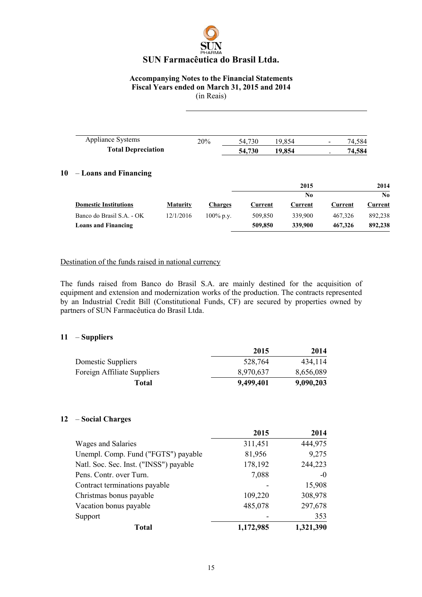### Accompanying Notes to the Financial Statements Fiscal Years ended on March 31, 2015 and 2014

(in Reais)

| <b>Appliance Systems</b>  | $20\%$ | 54.730 | 854<br>19. | $\overline{\phantom{0}}$ | 74.584 |
|---------------------------|--------|--------|------------|--------------------------|--------|
| <b>Total Depreciation</b> |        | 54,730 | 19.854     |                          | 74,584 |

### 10 – Loans and Financing

|                              |                 |              |         | 2015    |         | 2014    |
|------------------------------|-----------------|--------------|---------|---------|---------|---------|
|                              |                 |              |         | No      |         | No.     |
| <b>Domestic Institutions</b> | <b>Maturity</b> | Charges      | Current | Current | Current | Current |
| Banco do Brasil S.A. - OK    | 12/1/2016       | $100\%$ p.v. | 509.850 | 339,900 | 467.326 | 892.238 |
| <b>Loans and Financing</b>   |                 |              | 509,850 | 339,900 | 467,326 | 892,238 |

### Destination of the funds raised in national currency

The funds raised from Banco do Brasil S.A. are mainly destined for the acquisition of equipment and extension and modernization works of the production. The contracts represented by an Industrial Credit Bill (Constitutional Funds, CF) are secured by properties owned by partners of SUN Farmacêutica do Brasil Ltda.

### 11 – Suppliers

|                             | 2015      | 2014      |
|-----------------------------|-----------|-----------|
| Domestic Suppliers          | 528.764   | 434.114   |
| Foreign Affiliate Suppliers | 8,970,637 | 8,656,089 |
| Total                       | 9,499,401 | 9,090,203 |

### 12 – Social Charges

|                                        | 2015      | 2014      |
|----------------------------------------|-----------|-----------|
| Wages and Salaries                     | 311,451   | 444,975   |
| Unempl. Comp. Fund ("FGTS") payable    | 81,956    | 9,275     |
| Natl. Soc. Sec. Inst. ("INSS") payable | 178,192   | 244,223   |
| Pens. Contr. over Turn.                | 7,088     | $-0$      |
| Contract terminations payable          |           | 15,908    |
| Christmas bonus payable                | 109,220   | 308,978   |
| Vacation bonus payable                 | 485,078   | 297,678   |
| Support                                |           | 353       |
| <b>Total</b>                           | 1,172,985 | 1,321,390 |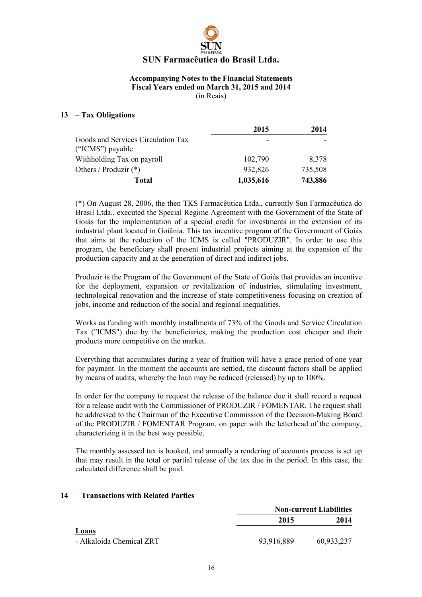

### 13 – Tax Obligations

|                                                        | 2015      | 2014    |
|--------------------------------------------------------|-----------|---------|
| Goods and Services Circulation Tax<br>("ICMS") payable | -         |         |
| Withholding Tax on payroll                             | 102,790   | 8,378   |
| Others / Produzir $(*)$                                | 932,826   | 735,508 |
| Total                                                  | 1,035,616 | 743,886 |

(\*) On August 28, 2006, the then TKS Farmacêutica Ltda., currently Sun Farmacêutica do Brasil Ltda., executed the Special Regime Agreement with the Government of the State of Goiás for the implementation of a special credit for investments in the extension of its industrial plant located in Goiânia. This tax incentive program of the Government of Goiás that aims at the reduction of the ICMS is called "PRODUZIR". In order to use this program, the beneficiary shall present industrial projects aiming at the expansion of the production capacity and at the generation of direct and indirect jobs.

Produzir is the Program of the Government of the State of Goiás that provides an incentive for the deployment, expansion or revitalization of industries, stimulating investment, technological renovation and the increase of state competitiveness focusing on creation of jobs, income and reduction of the social and regional inequalities.

Works as funding with monthly installments of 73% of the Goods and Service Circulation Tax ("ICMS") due by the beneficiaries, making the production cost cheaper and their products more competitive on the market.

Everything that accumulates during a year of fruition will have a grace period of one year for payment. In the moment the accounts are settled, the discount factors shall be applied by means of audits, whereby the loan may be reduced (released) by up to 100%.

In order for the company to request the release of the balance due it shall record a request for a release audit with the Commissioner of PRODUZIR / FOMENTAR. The request shall be addressed to the Chairman of the Executive Commission of the Decision-Making Board of the PRODUZIR / FOMENTAR Program, on paper with the letterhead of the company, characterizing it in the best way possible.

The monthly assessed tax is booked, and annually a rendering of accounts process is set up that may result in the total or partial release of the tax due in the period. In this case, the calculated difference shall be paid.

### 14 – Transactions with Related Parties

|                          |            | <b>Non-current Liabilities</b> |  |  |
|--------------------------|------------|--------------------------------|--|--|
|                          | 2015       | 2014                           |  |  |
| Loans                    |            |                                |  |  |
| - Alkaloida Chemical ZRT | 93,916,889 | 60,933,237                     |  |  |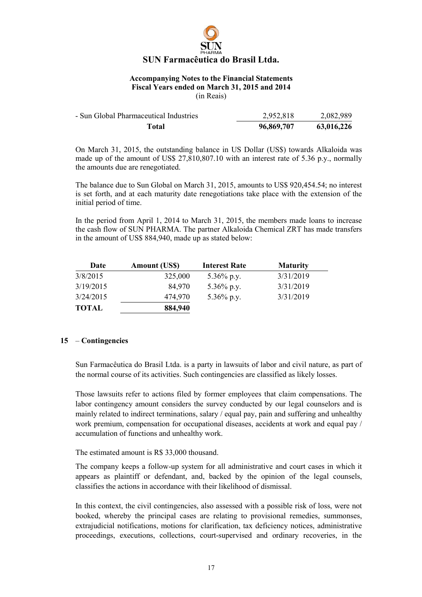### Accompanying Notes to the Financial Statements Fiscal Years ended on March 31, 2015 and 2014

(in Reais)

| Total                                  | 96,869,707 | 63,016,226 |
|----------------------------------------|------------|------------|
| - Sun Global Pharmaceutical Industries | 2,952,818  | 2,082,989  |

On March 31, 2015, the outstanding balance in US Dollar (US\$) towards Alkaloida was made up of the amount of US\$ 27,810,807.10 with an interest rate of 5.36 p.y., normally the amounts due are renegotiated.

The balance due to Sun Global on March 31, 2015, amounts to US\$ 920,454.54; no interest is set forth, and at each maturity date renegotiations take place with the extension of the initial period of time.

In the period from April 1, 2014 to March 31, 2015, the members made loans to increase the cash flow of SUN PHARMA. The partner Alkaloida Chemical ZRT has made transfers in the amount of US\$ 884,940, made up as stated below:

| Date         | <b>Amount (US\$)</b> | <b>Interest Rate</b> | <b>Maturity</b> |
|--------------|----------------------|----------------------|-----------------|
| 3/8/2015     | 325,000              | 5.36% p.y.           | 3/31/2019       |
| 3/19/2015    | 84,970               | 5.36% p.y.           | 3/31/2019       |
| 3/24/2015    | 474,970              | 5.36% p.y.           | 3/31/2019       |
| <b>TOTAL</b> | 884,940              |                      |                 |

### 15 – Contingencies

Sun Farmacêutica do Brasil Ltda. is a party in lawsuits of labor and civil nature, as part of the normal course of its activities. Such contingencies are classified as likely losses.

Those lawsuits refer to actions filed by former employees that claim compensations. The labor contingency amount considers the survey conducted by our legal counselors and is mainly related to indirect terminations, salary / equal pay, pain and suffering and unhealthy work premium, compensation for occupational diseases, accidents at work and equal pay / accumulation of functions and unhealthy work.

### The estimated amount is R\$ 33,000 thousand.

The company keeps a follow-up system for all administrative and court cases in which it appears as plaintiff or defendant, and, backed by the opinion of the legal counsels, classifies the actions in accordance with their likelihood of dismissal.

In this context, the civil contingencies, also assessed with a possible risk of loss, were not booked, whereby the principal cases are relating to provisional remedies, summonses, extrajudicial notifications, motions for clarification, tax deficiency notices, administrative proceedings, executions, collections, court-supervised and ordinary recoveries, in the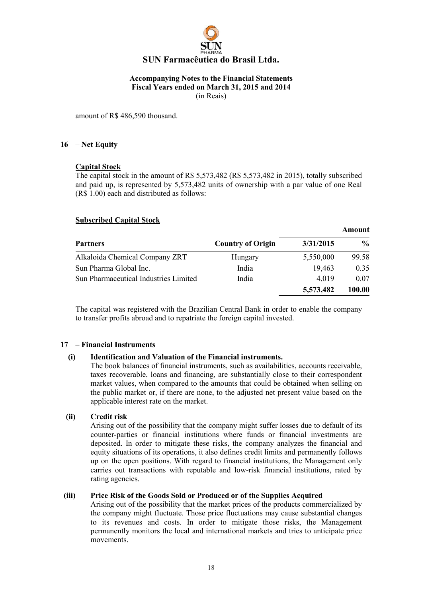

amount of R\$ 486,590 thousand.

### 16 – Net Equity

### Capital Stock

The capital stock in the amount of R\$ 5,573,482 (R\$ 5,573,482 in 2015), totally subscribed and paid up, is represented by 5,573,482 units of ownership with a par value of one Real (R\$ 1.00) each and distributed as follows:

### Subscribed Capital Stock

|                                       |                          |           | Amount        |
|---------------------------------------|--------------------------|-----------|---------------|
| <b>Partners</b>                       | <b>Country of Origin</b> | 3/31/2015 | $\frac{1}{2}$ |
| Alkaloida Chemical Company ZRT        | Hungary                  | 5,550,000 | 99.58         |
| Sun Pharma Global Inc.                | India                    | 19,463    | 0.35          |
| Sun Pharmaceutical Industries Limited | India                    | 4.019     | 0.07          |
|                                       |                          | 5,573,482 | 100.00        |

The capital was registered with the Brazilian Central Bank in order to enable the company to transfer profits abroad and to repatriate the foreign capital invested.

### 17 – Financial Instruments

### (i) Identification and Valuation of the Financial instruments.

The book balances of financial instruments, such as availabilities, accounts receivable, taxes recoverable, loans and financing, are substantially close to their correspondent market values, when compared to the amounts that could be obtained when selling on the public market or, if there are none, to the adjusted net present value based on the applicable interest rate on the market.

### (ii) Credit risk

Arising out of the possibility that the company might suffer losses due to default of its counter-parties or financial institutions where funds or financial investments are deposited. In order to mitigate these risks, the company analyzes the financial and equity situations of its operations, it also defines credit limits and permanently follows up on the open positions. With regard to financial institutions, the Management only carries out transactions with reputable and low-risk financial institutions, rated by rating agencies.

### (iii) Price Risk of the Goods Sold or Produced or of the Supplies Acquired

Arising out of the possibility that the market prices of the products commercialized by the company might fluctuate. Those price fluctuations may cause substantial changes to its revenues and costs. In order to mitigate those risks, the Management permanently monitors the local and international markets and tries to anticipate price movements.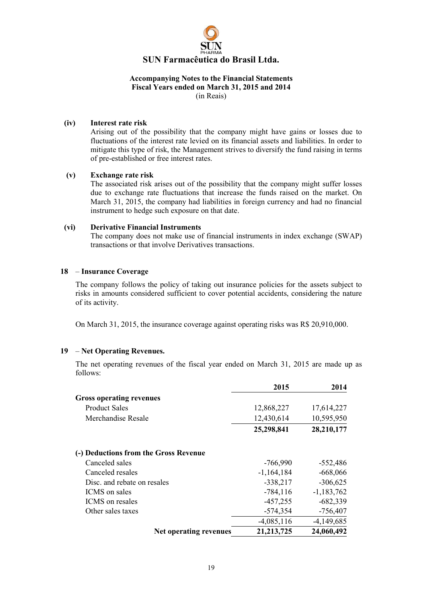

(iv) Interest rate risk

Arising out of the possibility that the company might have gains or losses due to fluctuations of the interest rate levied on its financial assets and liabilities. In order to mitigate this type of risk, the Management strives to diversify the fund raising in terms of pre-established or free interest rates.

### (v) Exchange rate risk

The associated risk arises out of the possibility that the company might suffer losses due to exchange rate fluctuations that increase the funds raised on the market. On March 31, 2015, the company had liabilities in foreign currency and had no financial instrument to hedge such exposure on that date.

### (vi) Derivative Financial Instruments

The company does not make use of financial instruments in index exchange (SWAP) transactions or that involve Derivatives transactions.

### 18 – Insurance Coverage

The company follows the policy of taking out insurance policies for the assets subject to risks in amounts considered sufficient to cover potential accidents, considering the nature of its activity.

On March 31, 2015, the insurance coverage against operating risks was R\$ 20,910,000.

### 19 – Net Operating Revenues.

The net operating revenues of the fiscal year ended on March 31, 2015 are made up as follows:

|                                       | 2015         | 2014         |
|---------------------------------------|--------------|--------------|
| <b>Gross operating revenues</b>       |              |              |
| <b>Product Sales</b>                  | 12,868,227   | 17,614,227   |
| Merchandise Resale                    | 12,430,614   | 10,595,950   |
|                                       | 25,298,841   | 28,210,177   |
| (-) Deductions from the Gross Revenue |              |              |
| Canceled sales                        | $-766,990$   | $-552,486$   |
| Canceled resales                      | $-1,164,184$ | $-668,066$   |
| Disc. and rebate on resales           | $-338,217$   | $-306,625$   |
| ICMS on sales                         | $-784, 116$  | $-1,183,762$ |
| ICMS on resales                       | $-457,255$   | $-682,339$   |
| Other sales taxes                     | $-574,354$   | $-756,407$   |
|                                       | $-4,085,116$ | $-4,149,685$ |
| Net operating revenues                | 21, 213, 725 | 24,060,492   |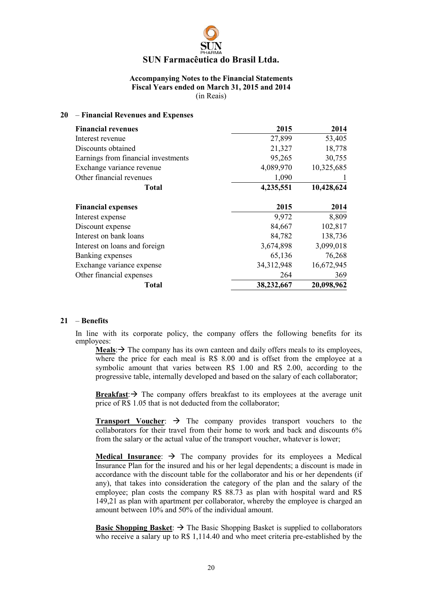### Accompanying Notes to the Financial Statements Fiscal Years ended on March 31, 2015 and 2014 (in Reais)

### 20 – Financial Revenues and Expenses

| <b>Financial revenues</b>           | 2015       | 2014       |
|-------------------------------------|------------|------------|
| Interest revenue                    | 27,899     | 53,405     |
| Discounts obtained                  | 21,327     | 18,778     |
| Earnings from financial investments | 95,265     | 30,755     |
| Exchange variance revenue           | 4,089,970  | 10,325,685 |
| Other financial revenues            | 1,090      |            |
| Total                               | 4,235,551  | 10,428,624 |
| <b>Financial expenses</b>           | 2015       | 2014       |
| Interest expense                    | 9,972      | 8,809      |
| Discount expense                    | 84,667     | 102,817    |
| Interest on bank loans              | 84,782     | 138,736    |
| Interest on loans and foreign       | 3,674,898  | 3,099,018  |
| Banking expenses                    | 65,136     | 76,268     |
| Exchange variance expense           | 34,312,948 | 16,672,945 |
| Other financial expenses            | 264        | 369        |
| Total                               | 38,232,667 | 20,098,962 |

### 21 – Benefits

In line with its corporate policy, the company offers the following benefits for its employees:

**Meals:**  $\rightarrow$  The company has its own canteen and daily offers meals to its employees, where the price for each meal is R\$ 8.00 and is offset from the employee at a symbolic amount that varies between R\$ 1.00 and R\$ 2.00, according to the progressive table, internally developed and based on the salary of each collaborator;

**Breakfast:**  $\rightarrow$  The company offers breakfast to its employees at the average unit price of R\$ 1.05 that is not deducted from the collaborator;

**Transport Voucher:**  $\rightarrow$  The company provides transport vouchers to the collaborators for their travel from their home to work and back and discounts 6% from the salary or the actual value of the transport voucher, whatever is lower;

Medical Insurance:  $\rightarrow$  The company provides for its employees a Medical Insurance Plan for the insured and his or her legal dependents; a discount is made in accordance with the discount table for the collaborator and his or her dependents (if any), that takes into consideration the category of the plan and the salary of the employee; plan costs the company R\$ 88.73 as plan with hospital ward and R\$ 149,21 as plan with apartment per collaborator, whereby the employee is charged an amount between 10% and 50% of the individual amount.

**Basic Shopping Basket:**  $\rightarrow$  The Basic Shopping Basket is supplied to collaborators who receive a salary up to R\$ 1,114.40 and who meet criteria pre-established by the